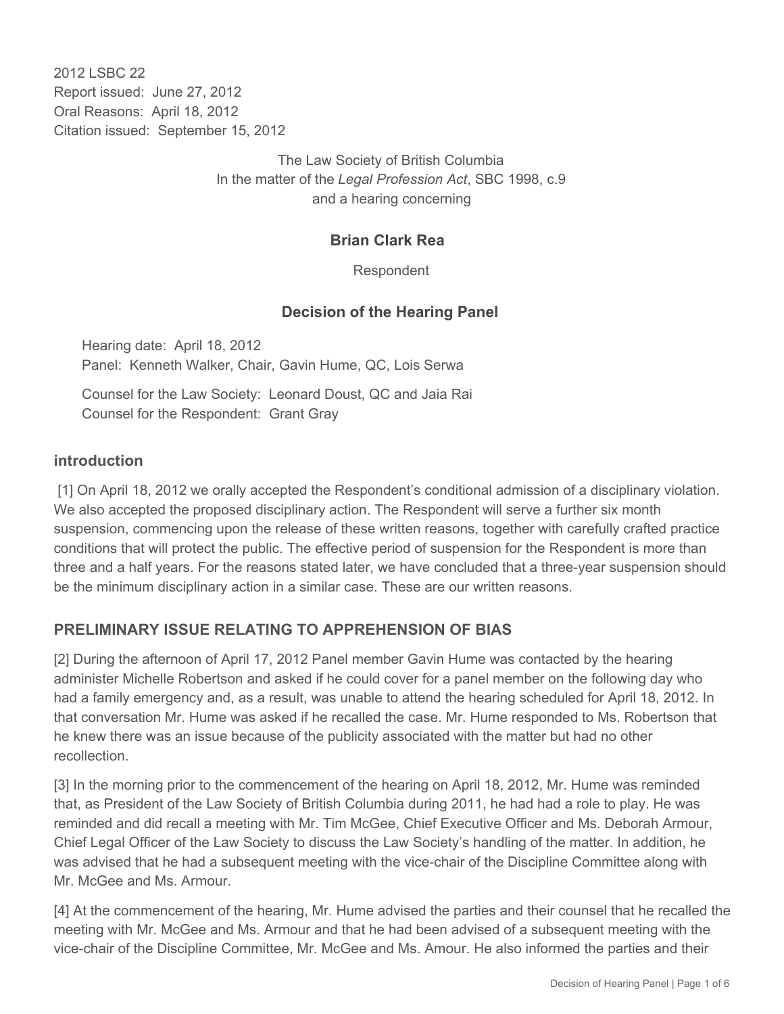2012 LSBC 22 Report issued: June 27, 2012 Oral Reasons: April 18, 2012 Citation issued: September 15, 2012

> The Law Society of British Columbia In the matter of the *Legal Profession Act*, SBC 1998, c.9 and a hearing concerning

#### **Brian Clark Rea**

Respondent

#### **Decision of the Hearing Panel**

Hearing date: April 18, 2012 Panel: Kenneth Walker, Chair, Gavin Hume, QC, Lois Serwa

Counsel for the Law Society: Leonard Doust, QC and Jaia Rai Counsel for the Respondent: Grant Gray

#### **introduction**

 [1] On April 18, 2012 we orally accepted the Respondent's conditional admission of a disciplinary violation. We also accepted the proposed disciplinary action. The Respondent will serve a further six month suspension, commencing upon the release of these written reasons, together with carefully crafted practice conditions that will protect the public. The effective period of suspension for the Respondent is more than three and a half years. For the reasons stated later, we have concluded that a three-year suspension should be the minimum disciplinary action in a similar case. These are our written reasons.

#### **PRELIMINARY ISSUE RELATING TO APPREHENSION OF BIAS**

[2] During the afternoon of April 17, 2012 Panel member Gavin Hume was contacted by the hearing administer Michelle Robertson and asked if he could cover for a panel member on the following day who had a family emergency and, as a result, was unable to attend the hearing scheduled for April 18, 2012. In that conversation Mr. Hume was asked if he recalled the case. Mr. Hume responded to Ms. Robertson that he knew there was an issue because of the publicity associated with the matter but had no other recollection.

[3] In the morning prior to the commencement of the hearing on April 18, 2012, Mr. Hume was reminded that, as President of the Law Society of British Columbia during 2011, he had had a role to play. He was reminded and did recall a meeting with Mr. Tim McGee, Chief Executive Officer and Ms. Deborah Armour, Chief Legal Officer of the Law Society to discuss the Law Society's handling of the matter. In addition, he was advised that he had a subsequent meeting with the vice-chair of the Discipline Committee along with Mr. McGee and Ms. Armour.

[4] At the commencement of the hearing, Mr. Hume advised the parties and their counsel that he recalled the meeting with Mr. McGee and Ms. Armour and that he had been advised of a subsequent meeting with the vice-chair of the Discipline Committee, Mr. McGee and Ms. Amour. He also informed the parties and their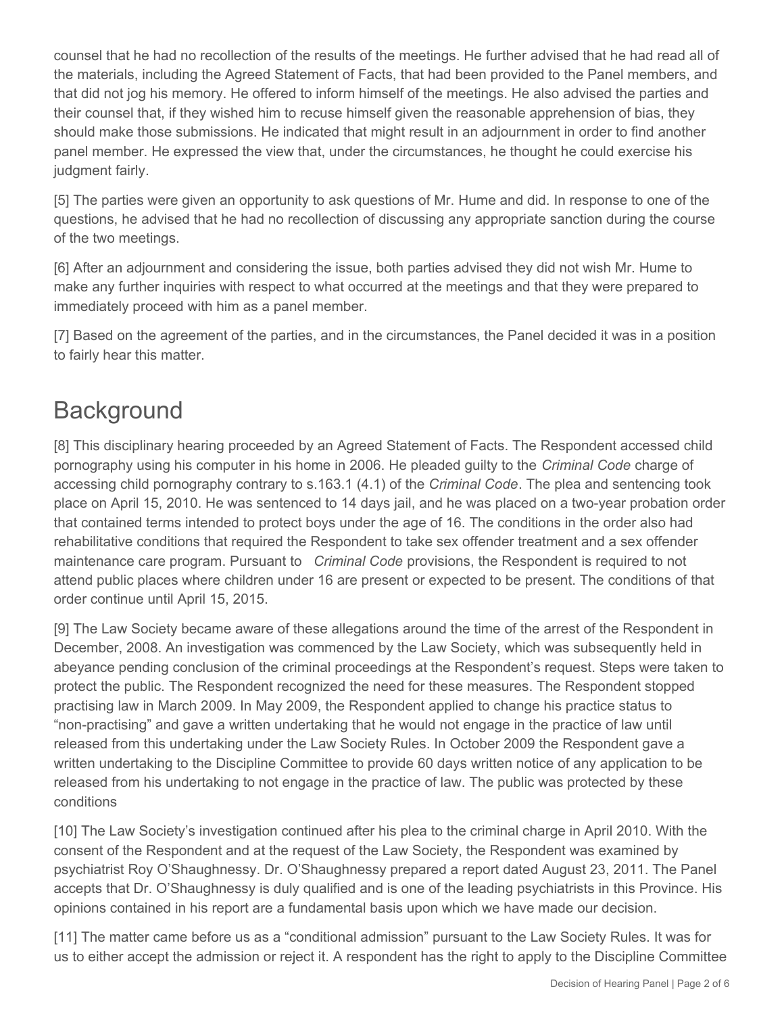counsel that he had no recollection of the results of the meetings. He further advised that he had read all of the materials, including the Agreed Statement of Facts, that had been provided to the Panel members, and that did not jog his memory. He offered to inform himself of the meetings. He also advised the parties and their counsel that, if they wished him to recuse himself given the reasonable apprehension of bias, they should make those submissions. He indicated that might result in an adjournment in order to find another panel member. He expressed the view that, under the circumstances, he thought he could exercise his judgment fairly.

[5] The parties were given an opportunity to ask questions of Mr. Hume and did. In response to one of the questions, he advised that he had no recollection of discussing any appropriate sanction during the course of the two meetings.

[6] After an adjournment and considering the issue, both parties advised they did not wish Mr. Hume to make any further inquiries with respect to what occurred at the meetings and that they were prepared to immediately proceed with him as a panel member.

[7] Based on the agreement of the parties, and in the circumstances, the Panel decided it was in a position to fairly hear this matter.

# **Background**

[8] This disciplinary hearing proceeded by an Agreed Statement of Facts. The Respondent accessed child pornography using his computer in his home in 2006. He pleaded guilty to the *Criminal Code* charge of accessing child pornography contrary to s.163.1 (4.1) of the *Criminal Code*. The plea and sentencing took place on April 15, 2010. He was sentenced to 14 days jail, and he was placed on a two-year probation order that contained terms intended to protect boys under the age of 16. The conditions in the order also had rehabilitative conditions that required the Respondent to take sex offender treatment and a sex offender maintenance care program. Pursuant to *Criminal Code* provisions, the Respondent is required to not attend public places where children under 16 are present or expected to be present. The conditions of that order continue until April 15, 2015.

[9] The Law Society became aware of these allegations around the time of the arrest of the Respondent in December, 2008. An investigation was commenced by the Law Society, which was subsequently held in abeyance pending conclusion of the criminal proceedings at the Respondent's request. Steps were taken to protect the public. The Respondent recognized the need for these measures. The Respondent stopped practising law in March 2009. In May 2009, the Respondent applied to change his practice status to "non-practising" and gave a written undertaking that he would not engage in the practice of law until released from this undertaking under the Law Society Rules. In October 2009 the Respondent gave a written undertaking to the Discipline Committee to provide 60 days written notice of any application to be released from his undertaking to not engage in the practice of law. The public was protected by these conditions

[10] The Law Society's investigation continued after his plea to the criminal charge in April 2010. With the consent of the Respondent and at the request of the Law Society, the Respondent was examined by psychiatrist Roy O'Shaughnessy. Dr. O'Shaughnessy prepared a report dated August 23, 2011. The Panel accepts that Dr. O'Shaughnessy is duly qualified and is one of the leading psychiatrists in this Province. His opinions contained in his report are a fundamental basis upon which we have made our decision.

[11] The matter came before us as a "conditional admission" pursuant to the Law Society Rules. It was for us to either accept the admission or reject it. A respondent has the right to apply to the Discipline Committee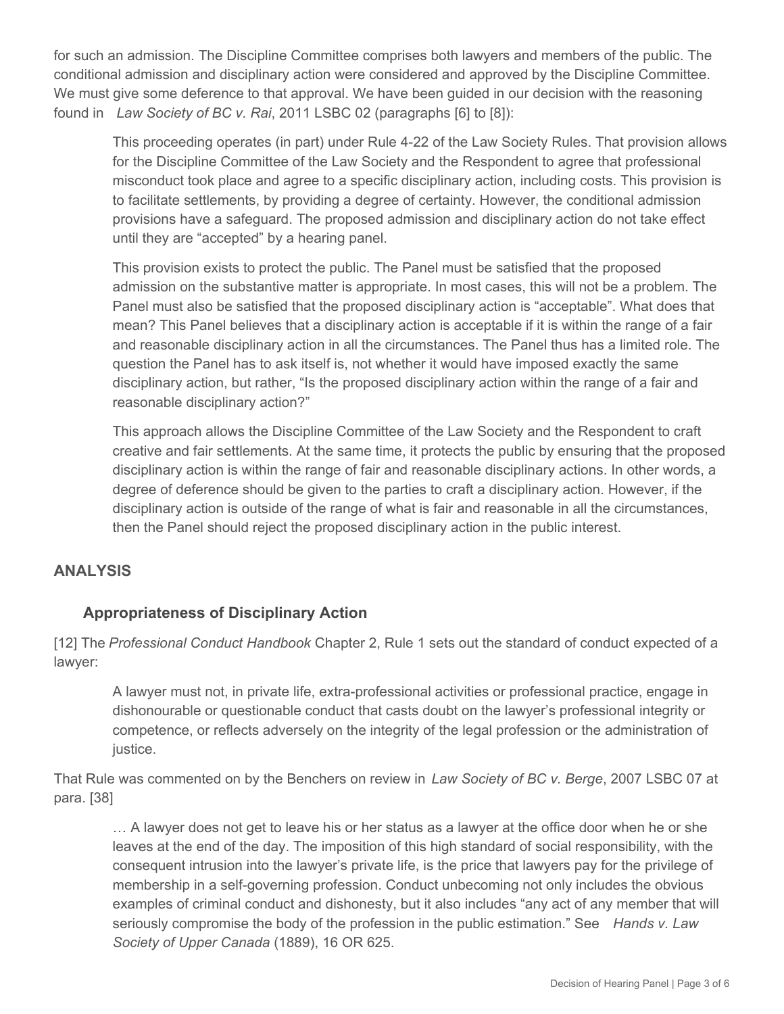for such an admission. The Discipline Committee comprises both lawyers and members of the public. The conditional admission and disciplinary action were considered and approved by the Discipline Committee. We must give some deference to that approval. We have been guided in our decision with the reasoning found in *Law Society of BC v. Rai*, 2011 LSBC 02 (paragraphs [6] to [8]):

This proceeding operates (in part) under Rule 4-22 of the Law Society Rules. That provision allows for the Discipline Committee of the Law Society and the Respondent to agree that professional misconduct took place and agree to a specific disciplinary action, including costs. This provision is to facilitate settlements, by providing a degree of certainty. However, the conditional admission provisions have a safeguard. The proposed admission and disciplinary action do not take effect until they are "accepted" by a hearing panel.

This provision exists to protect the public. The Panel must be satisfied that the proposed admission on the substantive matter is appropriate. In most cases, this will not be a problem. The Panel must also be satisfied that the proposed disciplinary action is "acceptable". What does that mean? This Panel believes that a disciplinary action is acceptable if it is within the range of a fair and reasonable disciplinary action in all the circumstances. The Panel thus has a limited role. The question the Panel has to ask itself is, not whether it would have imposed exactly the same disciplinary action, but rather, "Is the proposed disciplinary action within the range of a fair and reasonable disciplinary action?"

This approach allows the Discipline Committee of the Law Society and the Respondent to craft creative and fair settlements. At the same time, it protects the public by ensuring that the proposed disciplinary action is within the range of fair and reasonable disciplinary actions. In other words, a degree of deference should be given to the parties to craft a disciplinary action. However, if the disciplinary action is outside of the range of what is fair and reasonable in all the circumstances, then the Panel should reject the proposed disciplinary action in the public interest.

## **ANALYSIS**

## **Appropriateness of Disciplinary Action**

[12] The *Professional Conduct Handbook* Chapter 2, Rule 1 sets out the standard of conduct expected of a lawyer:

A lawyer must not, in private life, extra-professional activities or professional practice, engage in dishonourable or questionable conduct that casts doubt on the lawyer's professional integrity or competence, or reflects adversely on the integrity of the legal profession or the administration of justice.

That Rule was commented on by the Benchers on review in *Law Society of BC v. Berge*, 2007 LSBC 07 at para. [38]

… A lawyer does not get to leave his or her status as a lawyer at the office door when he or she leaves at the end of the day. The imposition of this high standard of social responsibility, with the consequent intrusion into the lawyer's private life, is the price that lawyers pay for the privilege of membership in a self-governing profession. Conduct unbecoming not only includes the obvious examples of criminal conduct and dishonesty, but it also includes "any act of any member that will seriously compromise the body of the profession in the public estimation." See *Hands v. Law Society of Upper Canada* (1889), 16 OR 625.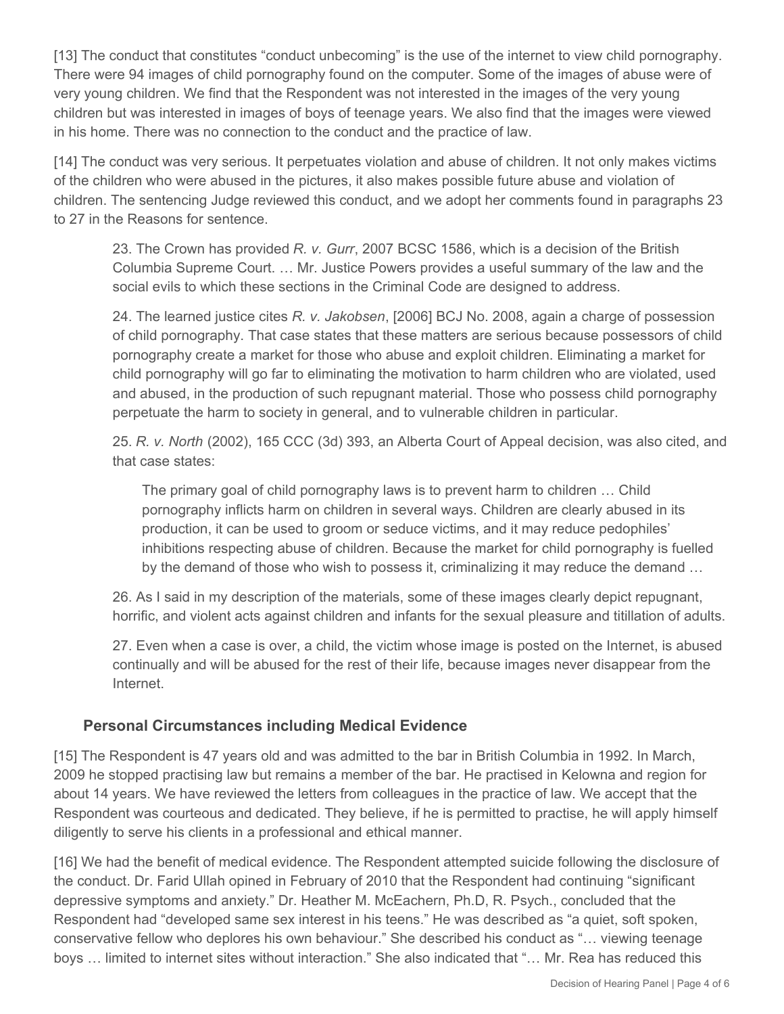[13] The conduct that constitutes "conduct unbecoming" is the use of the internet to view child pornography. There were 94 images of child pornography found on the computer. Some of the images of abuse were of very young children. We find that the Respondent was not interested in the images of the very young children but was interested in images of boys of teenage years. We also find that the images were viewed in his home. There was no connection to the conduct and the practice of law.

[14] The conduct was very serious. It perpetuates violation and abuse of children. It not only makes victims of the children who were abused in the pictures, it also makes possible future abuse and violation of children. The sentencing Judge reviewed this conduct, and we adopt her comments found in paragraphs 23 to 27 in the Reasons for sentence.

23. The Crown has provided *R. v. Gurr*, 2007 BCSC 1586, which is a decision of the British Columbia Supreme Court. … Mr. Justice Powers provides a useful summary of the law and the social evils to which these sections in the Criminal Code are designed to address.

24. The learned justice cites *R. v. Jakobsen*, [2006] BCJ No. 2008, again a charge of possession of child pornography. That case states that these matters are serious because possessors of child pornography create a market for those who abuse and exploit children. Eliminating a market for child pornography will go far to eliminating the motivation to harm children who are violated, used and abused, in the production of such repugnant material. Those who possess child pornography perpetuate the harm to society in general, and to vulnerable children in particular.

25. *R. v. North* (2002), 165 CCC (3d) 393, an Alberta Court of Appeal decision, was also cited, and that case states:

The primary goal of child pornography laws is to prevent harm to children … Child pornography inflicts harm on children in several ways. Children are clearly abused in its production, it can be used to groom or seduce victims, and it may reduce pedophiles' inhibitions respecting abuse of children. Because the market for child pornography is fuelled by the demand of those who wish to possess it, criminalizing it may reduce the demand ...

26. As I said in my description of the materials, some of these images clearly depict repugnant, horrific, and violent acts against children and infants for the sexual pleasure and titillation of adults.

27. Even when a case is over, a child, the victim whose image is posted on the Internet, is abused continually and will be abused for the rest of their life, because images never disappear from the Internet.

## **Personal Circumstances including Medical Evidence**

[15] The Respondent is 47 years old and was admitted to the bar in British Columbia in 1992. In March, 2009 he stopped practising law but remains a member of the bar. He practised in Kelowna and region for about 14 years. We have reviewed the letters from colleagues in the practice of law. We accept that the Respondent was courteous and dedicated. They believe, if he is permitted to practise, he will apply himself diligently to serve his clients in a professional and ethical manner.

[16] We had the benefit of medical evidence. The Respondent attempted suicide following the disclosure of the conduct. Dr. Farid Ullah opined in February of 2010 that the Respondent had continuing "significant depressive symptoms and anxiety." Dr. Heather M. McEachern, Ph.D, R. Psych., concluded that the Respondent had "developed same sex interest in his teens." He was described as "a quiet, soft spoken, conservative fellow who deplores his own behaviour." She described his conduct as "… viewing teenage boys … limited to internet sites without interaction." She also indicated that "… Mr. Rea has reduced this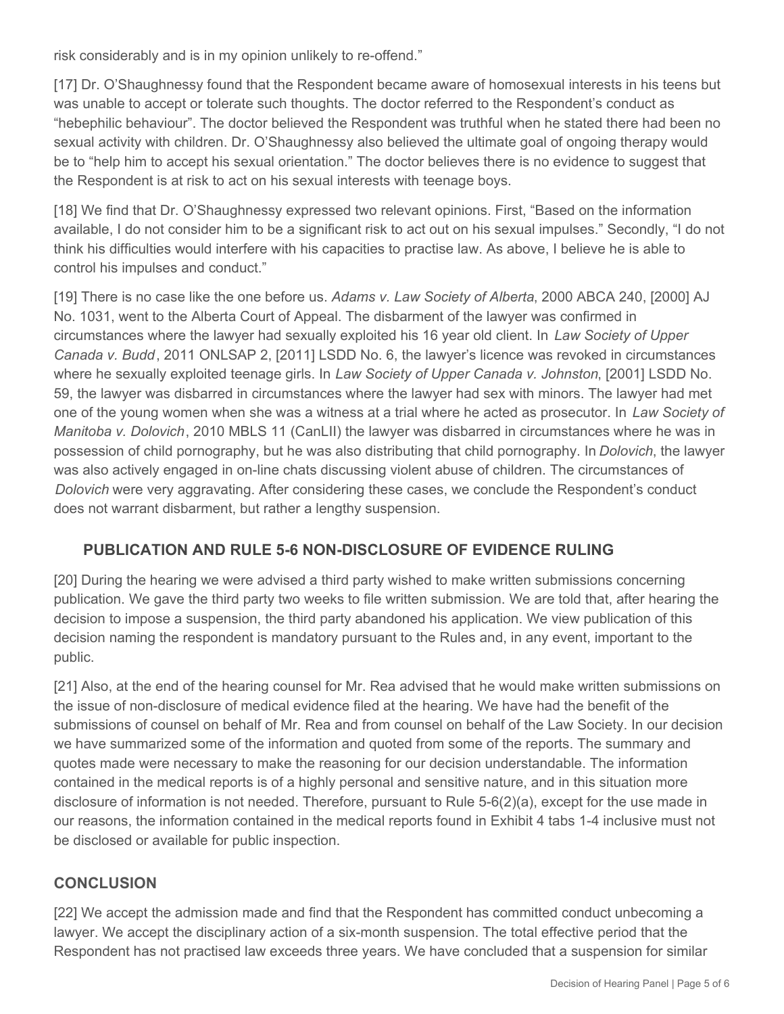risk considerably and is in my opinion unlikely to re-offend."

[17] Dr. O'Shaughnessy found that the Respondent became aware of homosexual interests in his teens but was unable to accept or tolerate such thoughts. The doctor referred to the Respondent's conduct as "hebephilic behaviour". The doctor believed the Respondent was truthful when he stated there had been no sexual activity with children. Dr. O'Shaughnessy also believed the ultimate goal of ongoing therapy would be to "help him to accept his sexual orientation." The doctor believes there is no evidence to suggest that the Respondent is at risk to act on his sexual interests with teenage boys.

[18] We find that Dr. O'Shaughnessy expressed two relevant opinions. First, "Based on the information available, I do not consider him to be a significant risk to act out on his sexual impulses." Secondly, "I do not think his difficulties would interfere with his capacities to practise law. As above, I believe he is able to control his impulses and conduct."

[19] There is no case like the one before us. *Adams v. Law Society of Alberta*, 2000 ABCA 240, [2000] AJ No. 1031, went to the Alberta Court of Appeal. The disbarment of the lawyer was confirmed in circumstances where the lawyer had sexually exploited his 16 year old client. In *Law Society of Upper Canada v. Budd*, 2011 ONLSAP 2, [2011] LSDD No. 6, the lawyer's licence was revoked in circumstances where he sexually exploited teenage girls. In *Law Society of Upper Canada v. Johnston*, [2001] LSDD No. 59, the lawyer was disbarred in circumstances where the lawyer had sex with minors. The lawyer had met one of the young women when she was a witness at a trial where he acted as prosecutor. In *Law Society of Manitoba v. Dolovich*, 2010 MBLS 11 (CanLII) the lawyer was disbarred in circumstances where he was in possession of child pornography, but he was also distributing that child pornography. In *Dolovich*, the lawyer was also actively engaged in on-line chats discussing violent abuse of children. The circumstances of *Dolovich* were very aggravating. After considering these cases, we conclude the Respondent's conduct does not warrant disbarment, but rather a lengthy suspension.

## **PUBLICATION AND RULE 5-6 NON-DISCLOSURE OF EVIDENCE RULING**

[20] During the hearing we were advised a third party wished to make written submissions concerning publication. We gave the third party two weeks to file written submission. We are told that, after hearing the decision to impose a suspension, the third party abandoned his application. We view publication of this decision naming the respondent is mandatory pursuant to the Rules and, in any event, important to the public.

[21] Also, at the end of the hearing counsel for Mr. Rea advised that he would make written submissions on the issue of non-disclosure of medical evidence filed at the hearing. We have had the benefit of the submissions of counsel on behalf of Mr. Rea and from counsel on behalf of the Law Society. In our decision we have summarized some of the information and quoted from some of the reports. The summary and quotes made were necessary to make the reasoning for our decision understandable. The information contained in the medical reports is of a highly personal and sensitive nature, and in this situation more disclosure of information is not needed. Therefore, pursuant to Rule 5-6(2)(a), except for the use made in our reasons, the information contained in the medical reports found in Exhibit 4 tabs 1-4 inclusive must not be disclosed or available for public inspection.

## **CONCLUSION**

[22] We accept the admission made and find that the Respondent has committed conduct unbecoming a lawyer. We accept the disciplinary action of a six-month suspension. The total effective period that the Respondent has not practised law exceeds three years. We have concluded that a suspension for similar